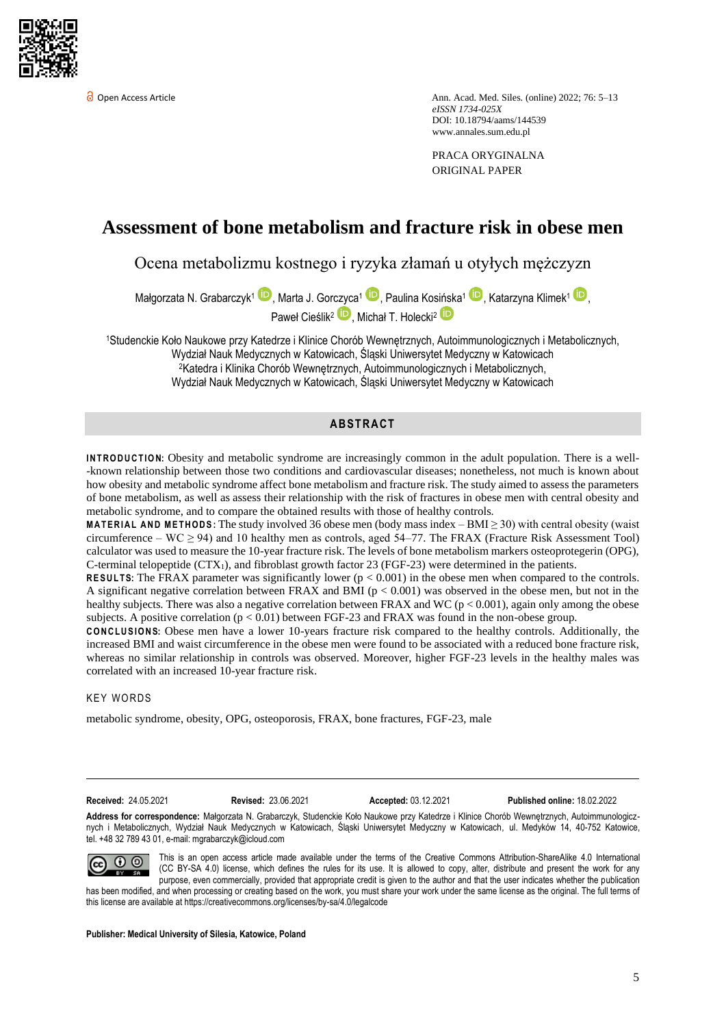

Open Access Article Ann. Acad. Med. Siles. (online) 2022; 76: 5–13 *eISSN 1734-025X*  DOI: 10.18794/aams/144539 [www.annales.sum.edu.pl](https://annales.sum.edu.pl/)

> PRACA ORYGINALNA ORIGINAL PAPER

# **Assessment of bone metabolism and fracture risk in obese men**

Ocena metabolizmu kostnego i ryzyka złamań u otyłych mężczyzn

Małgorzata N. Grabarczyk1 , Marta J. Gorczyca<sup>1</sup> (b. Paulina Kosińska<sup>1 (b.</sup> Katarzyna Klimek<sup>1</sup> (b. 1994) Paweł Cieślik<sup>2</sup> D, Michał T. Holecki<sup>2</sup>

<sup>1</sup>Studenckie Koło Naukowe przy Katedrze i Klinice Chorób Wewnętrznych, Autoimmunologicznych i Metabolicznych, Wydział Nauk Medycznych w Katowicach, Śląski Uniwersytet Medyczny w Katowicach <sup>2</sup>Katedra i Klinika Chorób Wewnętrznych, Autoimmunologicznych i Metabolicznych, Wydział Nauk Medycznych w Katowicach, Śląski Uniwersytet Medyczny w Katowicach

## **AB STR ACT**

**INTRODUCTION:** Obesity and metabolic syndrome are increasingly common in the adult population. There is a well--known relationship between those two conditions and cardiovascular diseases; nonetheless, not much is known about how obesity and metabolic syndrome affect bone metabolism and fracture risk. The study aimed to assess the parameters of bone metabolism, as well as assess their relationship with the risk of fractures in obese men with central obesity and metabolic syndrome, and to compare the obtained results with those of healthy controls.

**MATERIAL AND METHODS:** The study involved 36 obese men (body mass index  $-BMI \geq 30$ ) with central obesity (waist circumference – WC  $\geq$  94) and 10 healthy men as controls, aged 54–77. The FRAX (Fracture Risk Assessment Tool) calculator was used to measure the 10-year fracture risk. The levels of bone metabolism markers osteoprotegerin (OPG), C-terminal telopeptide  $(CTX<sub>1</sub>)$ , and fibroblast growth factor 23 (FGF-23) were determined in the patients.

**RESULTS:** The FRAX parameter was significantly lower  $(p < 0.001)$  in the obese men when compared to the controls. A significant negative correlation between FRAX and BMI ( $p < 0.001$ ) was observed in the obese men, but not in the healthy subjects. There was also a negative correlation between FRAX and WC ( $p < 0.001$ ), again only among the obese subjects. A positive correlation  $(p < 0.01)$  between FGF-23 and FRAX was found in the non-obese group.

**C O N C L U S I O NS:** Obese men have a lower 10-years fracture risk compared to the healthy controls. Additionally, the increased BMI and waist circumference in the obese men were found to be associated with a reduced bone fracture risk, whereas no similar relationship in controls was observed. Moreover, higher FGF-23 levels in the healthy males was correlated with an increased 10-year fracture risk.

#### **KEY WORDS**

metabolic syndrome, obesity, OPG, osteoporosis, FRAX, bone fractures, FGF-23, male

**Received:** 24.05.2021 **Revised:** 23.06.2021 **Accepted:** 03.12.2021 **Published online:** 18.02.2022

**Address for correspondence:** Małgorzata N. Grabarczyk, Studenckie Koło Naukowe przy Katedrze i Klinice Chorób Wewnętrznych, Autoimmunologicznych i Metabolicznych, Wydział Nauk Medycznych w Katowicach, Śląski Uniwersytet Medyczny w Katowicach, ul. Medyków 14, 40-752 Katowice, tel. +48 32 789 43 01, e-mail: mgrabarczyk@icloud.com



This is an open access article made available under the terms of the Creative Commons Attribution-ShareAlike 4.0 International (CC BY-SA 4.0) license, which defines the rules for its use. It is allowed to copy, alter, distribute and present the work for any purpose, even commercially, provided that appropriate credit is given to the author and that the user indicates whether the publication has been modified, and when processing or creating based on the work, you must share your work under the same license as the original. The full terms of this license are available a[t https://creativecommons.org/licenses/by-sa/4.0/legalcode](https://creativecommons.org/licenses/by-sa/4.0/legalcode)

**Publisher: Medical University of Silesia, Katowice, Poland**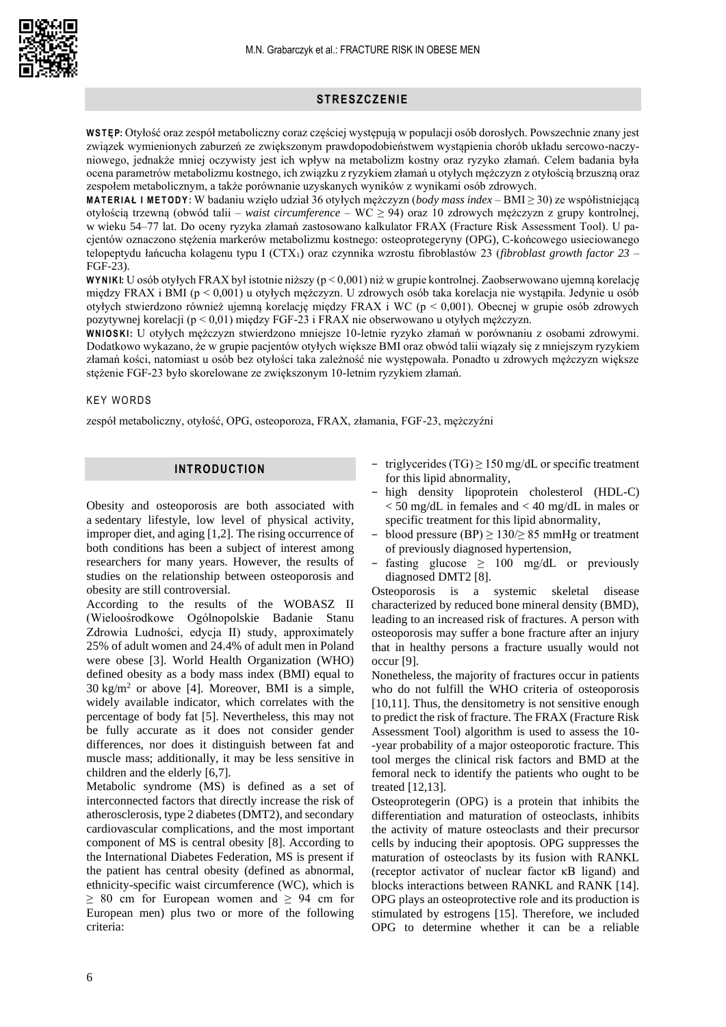

# **STRESZCZENIE**

**W S T ĘP:** Otyłość oraz zespół metaboliczny coraz częściej występują w populacji osób dorosłych. Powszechnie znany jest związek wymienionych zaburzeń ze zwiększonym prawdopodobieństwem wystąpienia chorób układu sercowo-naczyniowego, jednakże mniej oczywisty jest ich wpływ na metabolizm kostny oraz ryzyko złamań. Celem badania była ocena parametrów metabolizmu kostnego, ich związku z ryzykiem złamań u otyłych mężczyzn z otyłością brzuszną oraz zespołem metabolicznym, a także porównanie uzyskanych wyników z wynikami osób zdrowych.

**M A T E R I A Ł I M E T O D Y :** W badaniu wzięło udział 36 otyłych mężczyzn (*body mass index* – BMI ≥ 30) ze współistniejącą otyłością trzewną (obwód talii – *waist circumference* – WC ≥ 94) oraz 10 zdrowych mężczyzn z grupy kontrolnej, w wieku 54–77 lat. Do oceny ryzyka złamań zastosowano kalkulator FRAX (Fracture Risk Assessment Tool). U pacjentów oznaczono stężenia markerów metabolizmu kostnego: osteoprotegeryny (OPG), C-końcowego usieciowanego telopeptydu łańcucha kolagenu typu I (CTX1) oraz czynnika wzrostu fibroblastów 23 (*fibroblast growth factor 23* – FGF-23).

**W Y N I KI:** U osób otyłych FRAX był istotnie niższy (p < 0,001) niż w grupie kontrolnej. Zaobserwowano ujemną korelację między FRAX i BMI (p < 0,001) u otyłych mężczyzn. U zdrowych osób taka korelacja nie wystąpiła. Jedynie u osób otyłych stwierdzono również ujemną korelację między FRAX i WC (p < 0,001). Obecnej w grupie osób zdrowych pozytywnej korelacji (p < 0,01) między FGF-23 i FRAX nie obserwowano u otyłych mężczyzn.

**W N I O S K I:** U otyłych mężczyzn stwierdzono mniejsze 10-letnie ryzyko złamań w porównaniu z osobami zdrowymi. Dodatkowo wykazano, że w grupie pacjentów otyłych większe BMI oraz obwód talii wiązały się z mniejszym ryzykiem złamań kości, natomiast u osób bez otyłości taka zależność nie występowała. Ponadto u zdrowych mężczyzn większe stężenie FGF-23 było skorelowane ze zwiększonym 10-letnim ryzykiem złamań.

### **KEY WORDS**

zespół metaboliczny, otyłość, OPG, osteoporoza, FRAX, złamania, FGF-23, mężczyźni

# **INTRODUCTION**

Obesity and osteoporosis are both associated with a sedentary lifestyle, low level of physical activity, improper diet, and aging [1,2]. The rising occurrence of both conditions has been a subject of interest among researchers for many years. However, the results of studies on the relationship between osteoporosis and obesity are still controversial.

According to the results of the WOBASZ II (Wieloośrodkowe Ogólnopolskie Badanie Stanu Zdrowia Ludności, edycja II) study, approximately 25% of adult women and 24.4% of adult men in Poland were obese [3]. World Health Organization (WHO) defined obesity as a body mass index (BMI) equal to  $30 \text{ kg/m}^2$  or above [4]. Moreover, BMI is a simple, widely available indicator, which correlates with the percentage of body fat [5]. Nevertheless, this may not be fully accurate as it does not consider gender differences, nor does it distinguish between fat and muscle mass; additionally, it may be less sensitive in children and the elderly [6,7].

Metabolic syndrome (MS) is defined as a set of interconnected factors that directly increase the risk of atherosclerosis, type 2 diabetes (DMT2), and secondary cardiovascular complications, and the most important component of MS is central obesity [8]. According to the International Diabetes Federation, MS is present if the patient has central obesity (defined as abnormal, ethnicity-specific waist circumference (WC), which is  $\geq 80$  cm for European women and  $\geq 94$  cm for European men) plus two or more of the following criteria:

- − triglycerides (TG) ≥ 150 mg/dL or specific treatment for this lipid abnormality,
- high density lipoprotein cholesterol (HDL-C)  $<$  50 mg/dL in females and  $<$  40 mg/dL in males or specific treatment for this lipid abnormality,
- blood pressure (BP)  $\geq$  130/ $\geq$  85 mmHg or treatment of previously diagnosed hypertension,
- fasting glucose  $\geq 100$  mg/dL or previously diagnosed DMT2 [8].

Osteoporosis is a systemic skeletal disease characterized by reduced bone mineral density (BMD), leading to an increased risk of fractures. A person with osteoporosis may suffer a bone fracture after an injury that in healthy persons a fracture usually would not occur [9].

Nonetheless, the majority of fractures occur in patients who do not fulfill the WHO criteria of osteoporosis [10,11]. Thus, the densitometry is not sensitive enough to predict the risk of fracture. The FRAX (Fracture Risk Assessment Tool) algorithm is used to assess the 10- -year probability of a major osteoporotic fracture. This tool merges the clinical risk factors and BMD at the femoral neck to identify the patients who ought to be treated [12,13].

Osteoprotegerin (OPG) is a protein that inhibits the differentiation and maturation of osteoclasts, inhibits the activity of mature osteoclasts and their precursor cells by inducing their apoptosis. OPG suppresses the maturation of osteoclasts by its fusion with RANKL (receptor activator of nuclear factor κB ligand) and blocks interactions between RANKL and RANK [14]. OPG plays an osteoprotective role and its production is stimulated by estrogens [15]. Therefore, we included OPG to determine whether it can be a reliable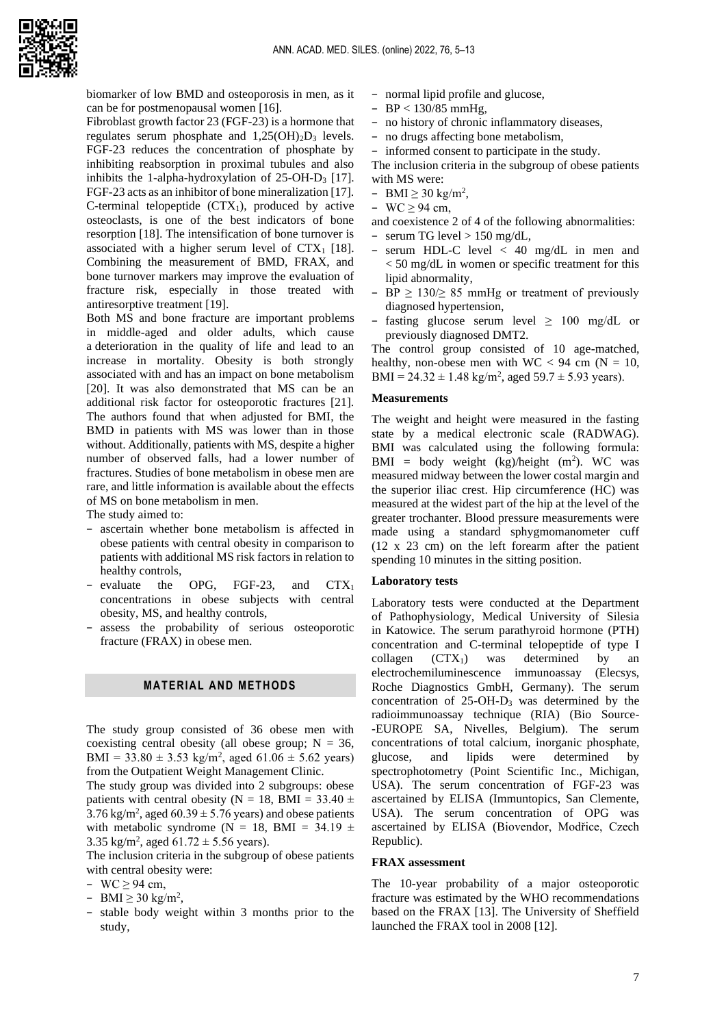

biomarker of low BMD and osteoporosis in men, as it can be for postmenopausal women [16].

Fibroblast growth factor 23 (FGF-23) is a hormone that regulates serum phosphate and  $1,25(OH)_2D_3$  levels. FGF-23 reduces the concentration of phosphate by inhibiting reabsorption in proximal tubules and also inhibits the 1-alpha-hydroxylation of  $25$ -OH-D<sub>3</sub> [17]. FGF-23 acts as an inhibitor of bone mineralization [17]. C-terminal telopeptide  $(CTX_1)$ , produced by active osteoclasts, is one of the best indicators of bone resorption [18]. The intensification of bone turnover is associated with a higher serum level of  $CTX_1$  [18]. Combining the measurement of BMD, FRAX, and bone turnover markers may improve the evaluation of fracture risk, especially in those treated with antiresorptive treatment [19].

Both MS and bone fracture are important problems in middle-aged and older adults, which cause a deterioration in the quality of life and lead to an increase in mortality. Obesity is both strongly associated with and has an impact on bone metabolism [20]. It was also demonstrated that MS can be an additional risk factor for osteoporotic fractures [21]. The authors found that when adjusted for BMI, the BMD in patients with MS was lower than in those without. Additionally, patients with MS, despite a higher number of observed falls, had a lower number of fractures. Studies of bone metabolism in obese men are rare, and little information is available about the effects of MS on bone metabolism in men.

The study aimed to:

- − ascertain whether bone metabolism is affected in obese patients with central obesity in comparison to patients with additional MS risk factors in relation to healthy controls,
- − evaluate the OPG, FGF-23, and CTX<sup>1</sup> concentrations in obese subjects with central obesity, MS, and healthy controls,
- − assess the probability of serious osteoporotic fracture (FRAX) in obese men.

## **MATERIAL AND METHODS**

The study group consisted of 36 obese men with coexisting central obesity (all obese group;  $N = 36$ , BMI = 33.80  $\pm$  3.53 kg/m<sup>2</sup>, aged 61.06  $\pm$  5.62 years) from the Outpatient Weight Management Clinic.

The study group was divided into 2 subgroups: obese patients with central obesity (N = 18, BMI = 33.40  $\pm$ 3.76 kg/m<sup>2</sup>, aged  $60.39 \pm 5.76$  years) and obese patients with metabolic syndrome (N = 18, BMI = 34.19  $\pm$ 3.35 kg/m<sup>2</sup>, aged 61.72  $\pm$  5.56 years).

The inclusion criteria in the subgroup of obese patients with central obesity were:

- − WC ≥ 94 cm,
- $-$  BMI  $\geq$  30 kg/m<sup>2</sup>,
- − stable body weight within 3 months prior to the study,
- − normal lipid profile and glucose,
- − BP < 130/85 mmHg,
- no history of chronic inflammatory diseases,
- no drugs affecting bone metabolism,

− informed consent to participate in the study.

The inclusion criteria in the subgroup of obese patients with MS were:

- $-$  BMI  $\geq$  30 kg/m<sup>2</sup>,
- − WC ≥ 94 cm,

and coexistence 2 of 4 of the following abnormalities:

- − serum TG level > 150 mg/dL,
- − serum HDL-C level < 40 mg/dL in men and < 50 mg/dL in women or specific treatment for this lipid abnormality,
- − BP ≥ 130/≥ 85 mmHg or treatment of previously diagnosed hypertension,
- − fasting glucose serum level ≥ 100 mg/dL or previously diagnosed DMT2.

The control group consisted of 10 age-matched, healthy, non-obese men with  $WC < 94$  cm  $(N = 10$ , BMI =  $24.32 \pm 1.48$  kg/m<sup>2</sup>, aged  $59.7 \pm 5.93$  years).

#### **Measurements**

The weight and height were measured in the fasting state by a medical electronic scale (RADWAG). BMI was calculated using the following formula:  $BMI = body weight (kg)/height (m<sup>2</sup>)$ . WC was measured midway between the lower costal margin and the superior iliac crest. Hip circumference (HC) was measured at the widest part of the hip at the level of the greater trochanter. Blood pressure measurements were made using a standard sphygmomanometer cuff (12 x 23 cm) on the left forearm after the patient spending 10 minutes in the sitting position.

### **Laboratory tests**

Laboratory tests were conducted at the Department of Pathophysiology, Medical University of Silesia in Katowice. The serum parathyroid hormone (PTH) concentration and C-terminal telopeptide of type I collagen  $(CTX_1)$  was determined by an electrochemiluminescence immunoassay (Elecsys, Roche Diagnostics GmbH, Germany). The serum concentration of 25-OH-D<sup>3</sup> was determined by the radioimmunoassay technique (RIA) (Bio Source- -EUROPE SA, Nivelles, Belgium). The serum concentrations of total calcium, inorganic phosphate, glucose, and lipids were determined by spectrophotometry (Point Scientific Inc., Michigan, USA). The serum concentration of FGF-23 was ascertained by ELISA (Immuntopics, San Clemente, USA). The serum concentration of OPG was ascertained by ELISA (Biovendor, Modřice, Czech Republic).

## **FRAX assessment**

The 10-year probability of a major osteoporotic fracture was estimated by the WHO recommendations based on the FRAX [13]. The University of Sheffield launched the FRAX tool in 2008 [12].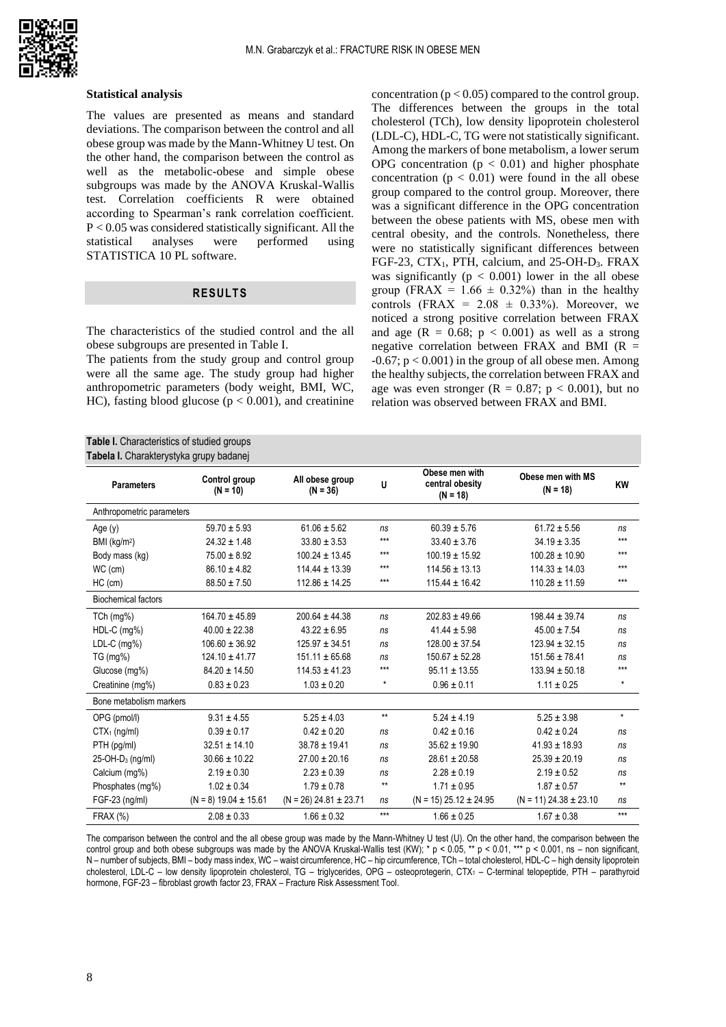

#### **Statistical analysis**

The values are presented as means and standard deviations. The comparison between the control and all obese group was made by the Mann-Whitney U test. On the other hand, the comparison between the control as well as the metabolic-obese and simple obese subgroups was made by the ANOVA Kruskal-Wallis test. Correlation coefficients R were obtained according to Spearman's rank correlation coefficient. P < 0.05 was considered statistically significant. All the statistical analyses were performed using STATISTICA 10 PL software.

# **RESULTS**

The characteristics of the studied control and the all obese subgroups are presented in Table I.

The patients from the study group and control group were all the same age. The study group had higher anthropometric parameters (body weight, BMI, WC, HC), fasting blood glucose ( $p < 0.001$ ), and creatinine

**Table I.** Characteristics of studied groups

concentration ( $p < 0.05$ ) compared to the control group. The differences between the groups in the total cholesterol (TCh), low density lipoprotein cholesterol (LDL-C), HDL-C, TG were not statistically significant. Among the markers of bone metabolism, a lower serum OPG concentration  $(p < 0.01)$  and higher phosphate concentration  $(p < 0.01)$  were found in the all obese group compared to the control group. Moreover, there was a significant difference in the OPG concentration between the obese patients with MS, obese men with central obesity, and the controls. Nonetheless, there were no statistically significant differences between FGF-23, CTX1, PTH, calcium, and 25-OH-D3. FRAX was significantly ( $p < 0.001$ ) lower in the all obese group (FRAX =  $1.66 \pm 0.32\%$ ) than in the healthy controls (FRAX =  $2.08 \pm 0.33\%$ ). Moreover, we noticed a strong positive correlation between FRAX and age  $(R = 0.68; p < 0.001)$  as well as a strong negative correlation between FRAX and BMI  $(R =$  $-0.67$ ;  $p < 0.001$ ) in the group of all obese men. Among the healthy subjects, the correlation between FRAX and age was even stronger ( $R = 0.87$ ;  $p < 0.001$ ), but no relation was observed between FRAX and BMI.

| <b>Parameters</b>            | Control group<br>$(N = 10)$ | All obese group<br>$(N = 36)$ | U            | Obese men with<br>central obesity<br>$(N = 18)$ | Obese men with MS<br>$(N = 18)$ | <b>KW</b>    |
|------------------------------|-----------------------------|-------------------------------|--------------|-------------------------------------------------|---------------------------------|--------------|
| Anthropometric parameters    |                             |                               |              |                                                 |                                 |              |
| Age $(y)$                    | $59.70 \pm 5.93$            | $61.06 \pm 5.62$              | ns           | $60.39 \pm 5.76$                                | $61.72 \pm 5.56$                | ns           |
| BMI (kg/m <sup>2</sup> )     | $24.32 \pm 1.48$            | $33.80 \pm 3.53$              | $***$        | $33.40 \pm 3.76$                                | $34.19 \pm 3.35$                | $***$        |
| Body mass (kg)               | $75.00 \pm 8.92$            | $100.24 \pm 13.45$            | $***$        | $100.19 \pm 15.92$                              | $100.28 \pm 10.90$              | $***$        |
| WC (cm)                      | $86.10 \pm 4.82$            | $114.44 \pm 13.39$            | $***$        | $114.56 \pm 13.13$                              | $114.33 \pm 14.03$              | $***$        |
| $HC$ (cm)                    | $88.50 \pm 7.50$            | $112.86 \pm 14.25$            | $***$        | $115.44 \pm 16.42$                              | $110.28 \pm 11.59$              | $***$        |
| <b>Biochemical factors</b>   |                             |                               |              |                                                 |                                 |              |
| $TCh$ (mg%)                  | $164.70 \pm 45.89$          | $200.64 \pm 44.38$            | ns           | $202.83 \pm 49.66$                              | $198.44 \pm 39.74$              | ns           |
| $HDL-C$ (mg%)                | $40.00 \pm 22.38$           | $43.22 \pm 6.95$              | ns           | $41.44 \pm 5.98$                                | $45.00 \pm 7.54$                | ns           |
| $LDL-C$ (mg%)                | $106.60 \pm 36.92$          | $125.97 \pm 34.51$            | ns           | $128.00 \pm 37.54$                              | $123.94 \pm 32.15$              | ns           |
| TG (mg%)                     | $124.10 \pm 41.77$          | $151.11 \pm 65.68$            | ns           | $150.67 \pm 52.28$                              | $151.56 \pm 78.41$              | ns           |
| Glucose (mg%)                | $84.20 \pm 14.50$           | $114.53 \pm 41.23$            | $***$        | $95.11 \pm 13.55$                               | $133.94 \pm 50.18$              | $***$        |
| Creatinine (mg%)             | $0.83 \pm 0.23$             | $1.03 \pm 0.20$               | $\star$      | $0.96 \pm 0.11$                                 | $1.11 \pm 0.25$                 | $\star$      |
| Bone metabolism markers      |                             |                               |              |                                                 |                                 |              |
| OPG (pmol/l)                 | $9.31 \pm 4.55$             | $5.25 \pm 4.03$               | $\star\star$ | $5.24 \pm 4.19$                                 | $5.25 \pm 3.98$                 | $^\star$     |
| $CTX1$ (ng/ml)               | $0.39 \pm 0.17$             | $0.42 \pm 0.20$               | ns           | $0.42 \pm 0.16$                                 | $0.42 \pm 0.24$                 | ns           |
| PTH (pg/ml)                  | $32.51 \pm 14.10$           | $38.78 \pm 19.41$             | ns           | $35.62 \pm 19.90$                               | $41.93 \pm 18.93$               | ns           |
| 25-OH-D <sub>3</sub> (ng/ml) | $30.66 \pm 10.22$           | $27.00 \pm 20.16$             | ns           | $28.61 \pm 20.58$                               | $25.39 \pm 20.19$               | ns           |
| Calcium (mq%)                | $2.19 \pm 0.30$             | $2.23 \pm 0.39$               | ns           | $2.28 \pm 0.19$                                 | $2.19 \pm 0.52$                 | ns           |
| Phosphates (mg%)             | $1.02 \pm 0.34$             | $1.79 \pm 0.78$               | $\star\star$ | $1.71 \pm 0.95$                                 | $1.87 \pm 0.57$                 | $\star\star$ |
| FGF-23 (ng/ml)               | $(N = 8)$ 19.04 $\pm$ 15.61 | $(N = 26)$ 24.81 $\pm$ 23.71  | ns           | $(N = 15)$ 25.12 $\pm$ 24.95                    | $(N = 11)$ 24.38 ± 23.10        | ns           |
| <b>FRAX (%)</b>              | $2.08 \pm 0.33$             | $1.66 \pm 0.32$               | $***$        | $1.66 \pm 0.25$                                 | $1.67 \pm 0.38$                 | $***$        |

The comparison between the control and the all obese group was made by the Mann-Whitney U test (U). On the other hand, the comparison between the control group and both obese subgroups was made by the ANOVA Kruskal-Wallis test (KW); \*  $p < 0.05$ , \*\*  $p < 0.01$ , \*\*\*  $p < 0.001$ , ns – non significant, N – number of subjects, BMI – body mass index, WC – waist circumference, HC – hip circumference, TCh – total cholesterol, HDL-C – high density lipoprotein cholesterol, LDL-C – low density lipoprotein cholesterol, TG – triglycerides, OPG – osteoprotegerin, CTX<sub>1</sub> – C-terminal telopeptide, PTH – parathyroid hormone, FGF-23 – fibroblast growth factor 23, FRAX – Fracture Risk Assessment Tool.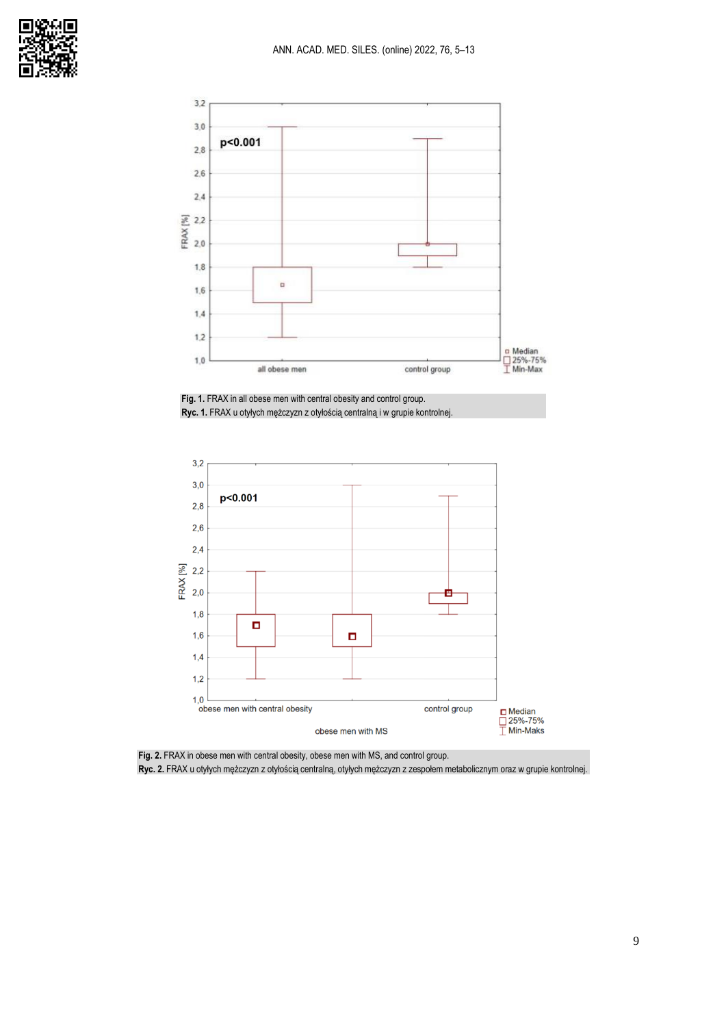

Fig. 1. FRAX in all obese men with central obesity and control group. **Ryc. 1.** FRAX u otyłych mężczyzn z otyłością centralną i w grupie kontrolnej.



**Fig. 2.** FRAX in obese men with central obesity, obese men with MS, and control group. **Ryc. 2.** FRAX u otyłych mężczyzn z otyłością centralną, otyłych mężczyzn z zespołem metabolicznym oraz w grupie kontrolnej.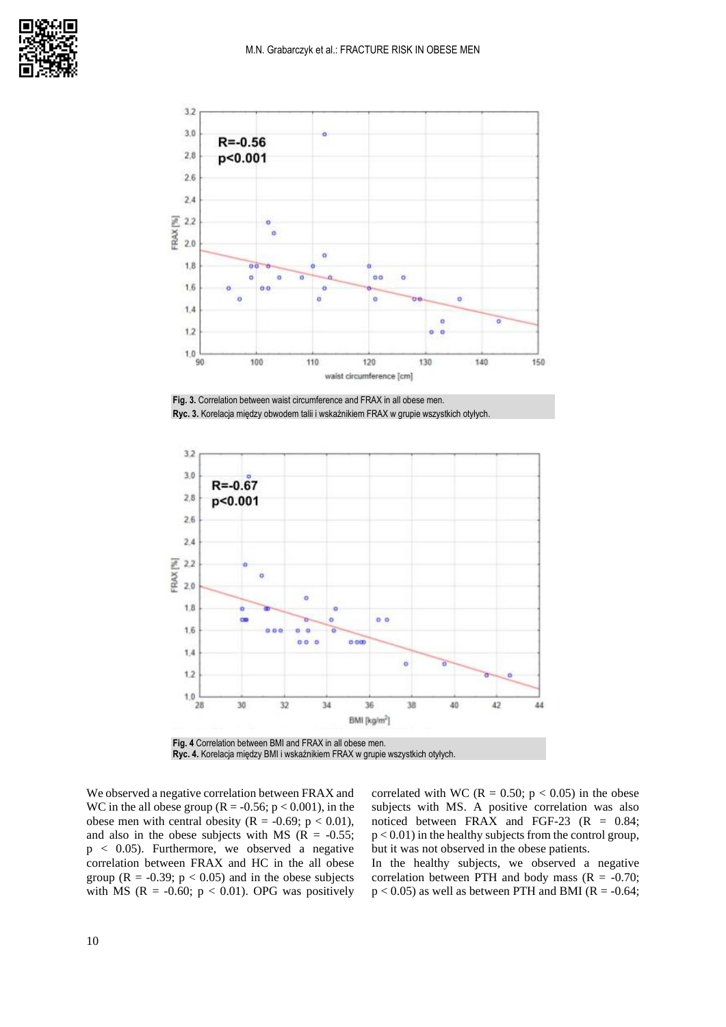

**Fig. 3.** Correlation between waist circumference and FRAX in all obese men. **Ryc. 3.** Korelacja między obwodem talii i wskaźnikiem FRAX w grupie wszystkich otyłych.



**Fig. 4** Correlation between BMI and FRAX in all obese men. **Ryc. 4.** Korelacja między BMI i wskaźnikiem FRAX w grupie wszystkich otyłych.

We observed a negative correlation between FRAX and WC in the all obese group ( $R = -0.56$ ;  $p < 0.001$ ), in the obese men with central obesity ( $R = -0.69$ ;  $p < 0.01$ ), and also in the obese subjects with MS ( $R = -0.55$ ; p < 0.05). Furthermore, we observed a negative correlation between FRAX and HC in the all obese group ( $R = -0.39$ ;  $p < 0.05$ ) and in the obese subjects with MS ( $R = -0.60$ ;  $p < 0.01$ ). OPG was positively correlated with WC ( $R = 0.50$ ;  $p < 0.05$ ) in the obese subjects with MS. A positive correlation was also noticed between FRAX and FGF-23  $(R = 0.84)$ ;  $p < 0.01$ ) in the healthy subjects from the control group, but it was not observed in the obese patients.

In the healthy subjects, we observed a negative correlation between PTH and body mass  $(R = -0.70)$ ;  $p < 0.05$ ) as well as between PTH and BMI (R = -0.64;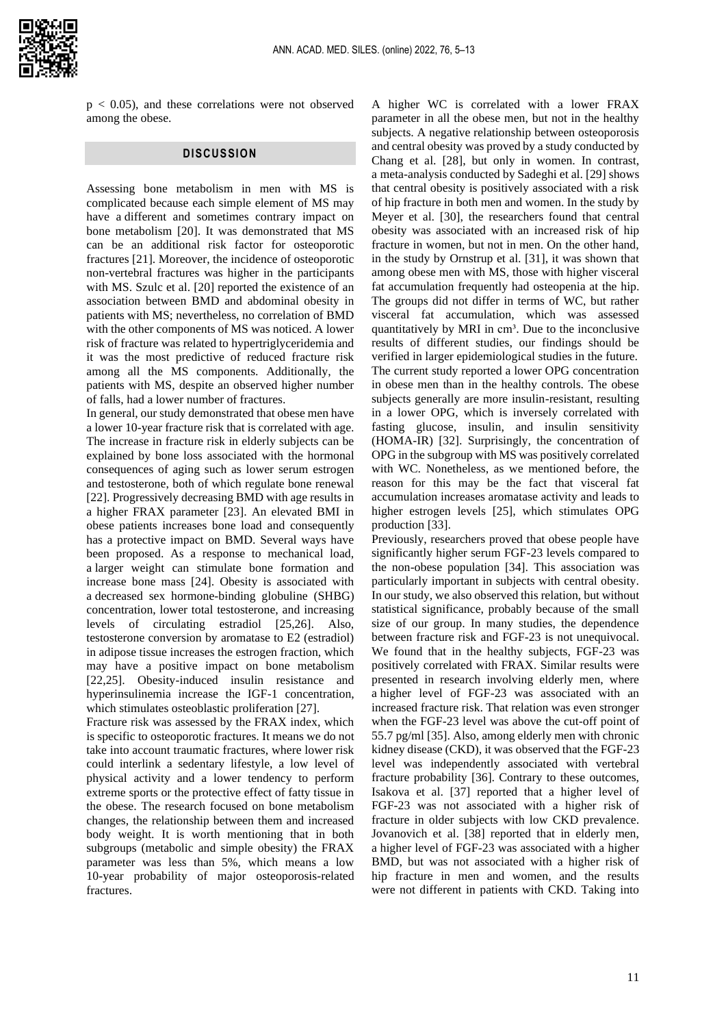

 $p < 0.05$ ), and these correlations were not observed among the obese.

# **DISCUSSION**

Assessing bone metabolism in men with MS is complicated because each simple element of MS may have a different and sometimes contrary impact on bone metabolism [20]. It was demonstrated that MS can be an additional risk factor for osteoporotic fractures [21]. Moreover, the incidence of osteoporotic non-vertebral fractures was higher in the participants with MS. Szulc et al. [20] reported the existence of an association between BMD and abdominal obesity in patients with MS; nevertheless, no correlation of BMD with the other components of MS was noticed. A lower risk of fracture was related to hypertriglyceridemia and it was the most predictive of reduced fracture risk among all the MS components. Additionally, the patients with MS, despite an observed higher number of falls, had a lower number of fractures.

In general, our study demonstrated that obese men have a lower 10-year fracture risk that is correlated with age. The increase in fracture risk in elderly subjects can be explained by bone loss associated with the hormonal consequences of aging such as lower serum estrogen and testosterone, both of which regulate bone renewal [22]. Progressively decreasing BMD with age results in a higher FRAX parameter [23]. An elevated BMI in obese patients increases bone load and consequently has a protective impact on BMD. Several ways have been proposed. As a response to mechanical load, a larger weight can stimulate bone formation and increase bone mass [24]. Obesity is associated with a decreased sex hormone-binding globuline (SHBG) concentration, lower total testosterone, and increasing levels of circulating estradiol [25,26]. Also, testosterone conversion by aromatase to E2 (estradiol) in adipose tissue increases the estrogen fraction, which may have a positive impact on bone metabolism [22,25]. Obesity-induced insulin resistance and hyperinsulinemia increase the IGF-1 concentration, which stimulates osteoblastic proliferation [27].

Fracture risk was assessed by the FRAX index, which is specific to osteoporotic fractures. It means we do not take into account traumatic fractures, where lower risk could interlink a sedentary lifestyle, a low level of physical activity and a lower tendency to perform extreme sports or the protective effect of fatty tissue in the obese. The research focused on bone metabolism changes, the relationship between them and increased body weight. It is worth mentioning that in both subgroups (metabolic and simple obesity) the FRAX parameter was less than 5%, which means a low 10-year probability of major osteoporosis-related fractures.

A higher WC is correlated with a lower FRAX parameter in all the obese men, but not in the healthy subjects. A negative relationship between osteoporosis and central obesity was proved by a study conducted by Chang et al. [28], but only in women. In contrast, a meta-analysis conducted by Sadeghi et al. [29] shows that central obesity is positively associated with a risk of hip fracture in both men and women. In the study by Meyer et al. [30], the researchers found that central obesity was associated with an increased risk of hip fracture in women, but not in men. On the other hand, in the study by Ornstrup et al. [31], it was shown that among obese men with MS, those with higher visceral fat accumulation frequently had osteopenia at the hip. The groups did not differ in terms of WC, but rather visceral fat accumulation, which was assessed quantitatively by MRI in cm<sup>3</sup>. Due to the inconclusive results of different studies, our findings should be verified in larger epidemiological studies in the future. The current study reported a lower OPG concentration in obese men than in the healthy controls. The obese subjects generally are more insulin-resistant, resulting in a lower OPG, which is inversely correlated with fasting glucose, insulin, and insulin sensitivity (HOMA-IR) [32]. Surprisingly, the concentration of OPG in the subgroup with MS was positively correlated with WC. Nonetheless, as we mentioned before, the reason for this may be the fact that visceral fat accumulation increases aromatase activity and leads to higher estrogen levels [25], which stimulates OPG production [33].

Previously, researchers proved that obese people have significantly higher serum FGF-23 levels compared to the non-obese population [34]. This association was particularly important in subjects with central obesity. In our study, we also observed this relation, but without statistical significance, probably because of the small size of our group. In many studies, the dependence between fracture risk and FGF-23 is not unequivocal. We found that in the healthy subjects, FGF-23 was positively correlated with FRAX. Similar results were presented in research involving elderly men, where a higher level of FGF-23 was associated with an increased fracture risk. That relation was even stronger when the FGF-23 level was above the cut-off point of 55.7 pg/ml [35]. Also, among elderly men with chronic kidney disease (CKD), it was observed that the FGF-23 level was independently associated with vertebral fracture probability [36]. Contrary to these outcomes, Isakova et al. [37] reported that a higher level of FGF-23 was not associated with a higher risk of fracture in older subjects with low CKD prevalence. Jovanovich et al. [38] reported that in elderly men, a higher level of FGF-23 was associated with a higher BMD, but was not associated with a higher risk of hip fracture in men and women, and the results were not different in patients with CKD. Taking into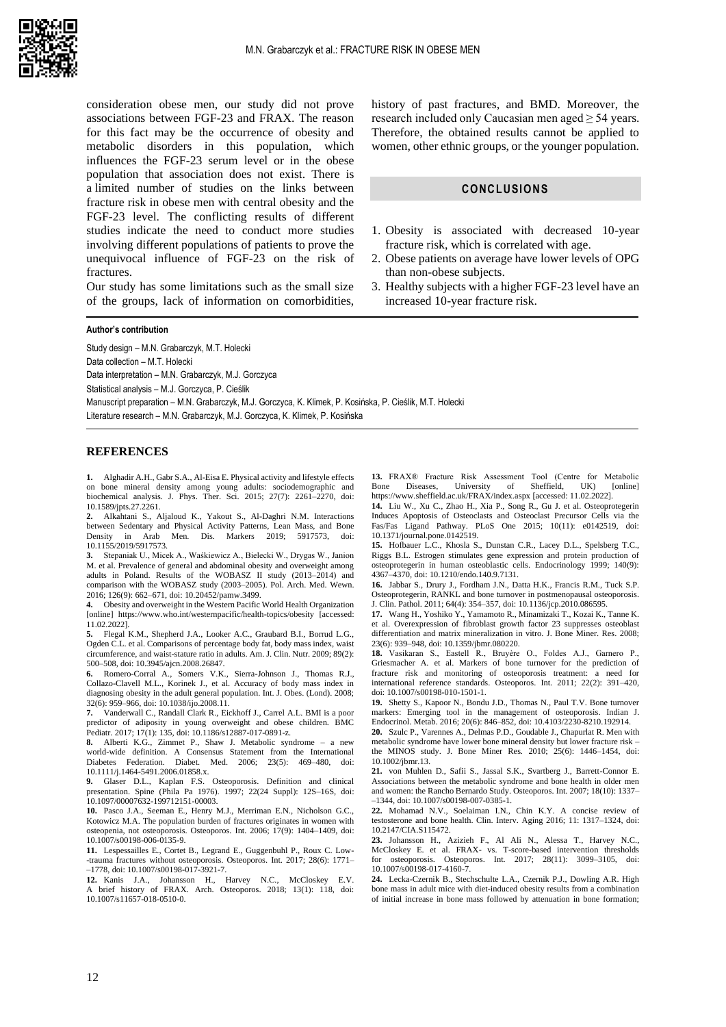

consideration obese men, our study did not prove associations between FGF-23 and FRAX. The reason for this fact may be the occurrence of obesity and metabolic disorders in this population, which influences the FGF-23 serum level or in the obese population that association does not exist. There is a limited number of studies on the links between fracture risk in obese men with central obesity and the FGF-23 level. The conflicting results of different studies indicate the need to conduct more studies involving different populations of patients to prove the unequivocal influence of FGF-23 on the risk of fractures.

Our study has some limitations such as the small size of the groups, lack of information on comorbidities,

#### **Author's contribution**

Study design – M.N. Grabarczyk, M.T. Holecki Data collection – M.T. Holecki Data interpretation – M.N. Grabarczyk, M.J. Gorczyca Statistical analysis – M.J. Gorczyca, P. Cieślik Manuscript preparation – M.N. Grabarczyk, M.J. Gorczyca, K. Klimek, P. Kosińska, P. Cieślik, M.T. Holecki Literature research – M.N. Grabarczyk, M.J. Gorczyca, K. Klimek, P. Kosińska

#### **REFERENCES**

**1.** Alghadir A.H., Gabr S.A., Al-Eisa E. Physical activity and lifestyle effects on bone mineral density among young adults: sociodemographic and biochemical analysis. J. Phys. Ther. Sci. 2015; 27(7): 2261–2270, doi: 10.1589/jpts.27.2261.

**2.** Alkahtani S., Aljaloud K., Yakout S., Al-Daghri N.M. Interactions between Sedentary and Physical Activity Patterns, Lean Mass, and Bone<br>
Density in Arab Men. Dis. Markers 2019: 5917573. doi: Density in Arab Men. Dis. Markers 10.1155/2019/5917573.

**3.** Stepaniak U., Micek A., Waśkiewicz A., Bielecki W., Drygas W., Janion M. et al. Prevalence of general and abdominal obesity and overweight among adults in Poland. Results of the WOBASZ II study (2013–2014) and comparison with the WOBASZ study (2003–2005). Pol. Arch. Med. Wewn. 2016; 126(9): 662–671, doi: 10.20452/pamw.3499.

**4.** Obesity and overweight in the Western Pacific World Health Organization [online] https:[//www.who.int/westernpacific/health-topics/obesity](http://www.who.int/westernpacific/health-topics/obesity) [accessed: 11.02.2022].

**5.** Flegal K.M., Shepherd J.A., Looker A.C., Graubard B.I., Borrud L.G., Ogden C.L. et al. Comparisons of percentage body fat, body mass index, waist circumference, and waist-stature ratio in adults. Am. J. Clin. Nutr. 2009; 89(2): 500–508, doi: 10.3945/ajcn.2008.26847.

**6.** Romero-Corral A., Somers V.K., Sierra-Johnson J., Thomas R.J., Collazo-Clavell M.L., Korinek J., et al. Accuracy of body mass index in diagnosing obesity in the adult general population. Int. J. Obes. (Lond). 2008; 32(6): 959–966, doi: 10.1038/ijo.2008.11.

**7.** Vanderwall C., Randall Clark R., Eickhoff J., Carrel A.L. BMI is a poor predictor of adiposity in young overweight and obese children. BMC Pediatr. 2017; 17(1): 135, doi: 10.1186/s12887-017-0891-z.

**8.** Alberti K.G., Zimmet P., Shaw J. Metabolic syndrome – a new world-wide definition. A Consensus Statement from the International Diabetes Federation. Diabet. Med. 2006; 23(5): 469–480, doi: 10.1111/j.1464-5491.2006.01858.x.

**9.** Glaser D.L., Kaplan F.S. Osteoporosis. Definition and clinical presentation. Spine (Phila Pa 1976). 1997; 22(24 Suppl): 12S–16S, doi: 10.1097/00007632-199712151-00003.

**10.** Pasco J.A., Seeman E., Henry M.J., Merriman E.N., Nicholson G.C., Kotowicz M.A. The population burden of fractures originates in women with osteopenia, not osteoporosis. Osteoporos. Int. 2006; 17(9): 1404–1409, doi: 10.1007/s00198-006-0135-9.

**11.** Lespessailles E., Cortet B., Legrand E., Guggenbuhl P., Roux C. Low- -trauma fractures without osteoporosis. Osteoporos. Int. 2017; 28(6): 1771– –1778, doi: 10.1007/s00198-017-3921-7.

**12.** Kanis J.A., Johansson H., Harvey N.C., McCloskey E.V. A brief history of FRAX. Arch. Osteoporos. 2018; 13(1): 118, doi: 10.1007/s11657-018-0510-0.

history of past fractures, and BMD. Moreover, the research included only Caucasian men aged  $\geq$  54 years. Therefore, the obtained results cannot be applied to women, other ethnic groups, or the younger population.

## **CONCLUSIONS**

- 1. Obesity is associated with decreased 10-year fracture risk, which is correlated with age.
- 2. Obese patients on average have lower levels of OPG than non-obese subjects.
- 3. Healthy subjects with a higher FGF-23 level have an increased 10-year fracture risk.

13. FRAX® Fracture Risk Assessment Tool (Centre for Metabolic Bone Diseases, University of Sheffield, UK) [online] University of Sheffield, <https://www.sheffield.ac.uk/FRAX/index.aspx> [accessed: 11.02.2022].

**14.** Liu W., Xu C., Zhao H., Xia P., Song R., Gu J. et al. Osteoprotegerin Induces Apoptosis of Osteoclasts and Osteoclast Precursor Cells via the Fas/Fas Ligand Pathway. PLoS One 2015; 10(11): e0142519, doi: 10.1371/journal.pone.0142519.

**15.** Hofbauer L.C., Khosla S., Dunstan C.R., Lacey D.L., Spelsberg T.C., Riggs B.L. Estrogen stimulates gene expression and protein production of osteoprotegerin in human osteoblastic cells. Endocrinology 1999; 140(9): 4367–4370, doi: 10.1210/endo.140.9.7131.

**16.** Jabbar S., Drury J., Fordham J.N., Datta H.K., Francis R.M., Tuck S.P. Osteoprotegerin, RANKL and bone turnover in postmenopausal osteoporosis. J. Clin. Pathol. 2011; 64(4): 354–357, doi: 10.1136/jcp.2010.086595.

**17.** Wang H., Yoshiko Y., Yamamoto R., Minamizaki T., Kozai K., Tanne K. et al. Overexpression of fibroblast growth factor 23 suppresses osteoblast differentiation and matrix mineralization in vitro. J. Bone Miner. Res. 2008; 23(6): 939–948, doi: 10.1359/jbmr.080220.

**18.** Vasikaran S., Eastell R., Bruyère O., Foldes A.J., Garnero P., Griesmacher A. et al. Markers of bone turnover for the prediction of fracture risk and monitoring of osteoporosis treatment: a need for international reference standards. Osteoporos. Int. 2011; 22(2): 391–420, doi: 10.1007/s00198-010-1501-1.

**19.** Shetty S., Kapoor N., Bondu J.D., Thomas N., Paul T.V. Bone turnover markers: Emerging tool in the management of osteoporosis. Indian J. Endocrinol. Metab. 2016; 20(6): 846–852, doi: 10.4103/2230-8210.192914.

**20.** Szulc P., Varennes A., Delmas P.D., Goudable J., Chapurlat R. Men with metabolic syndrome have lower bone mineral density but lower fracture risk – the MINOS study. J. Bone Miner Res. 2010; 25(6): 1446–1454, doi: 10.1002/jbmr.13.

**21.** von Muhlen D., Safii S., Jassal S.K., Svartberg J., Barrett-Connor E. Associations between the metabolic syndrome and bone health in older men and women: the Rancho Bernardo Study. Osteoporos. Int. 2007; 18(10): 1337– –1344, doi: 10.1007/s00198-007-0385-1.

**22.** Mohamad N.V., Soelaiman I.N., Chin K.Y. A concise review of testosterone and bone health. Clin. Interv. Aging 2016; 11: 1317–1324, doi: 10.2147/CIA.S115472.

**23.** Johansson H., Azizieh F., Al Ali N., Alessa T., Harvey N.C., McCloskey E. et al. FRAX- vs. T-score-based intervention thresholds for osteoporosis. Osteoporos. Int. 2017; 28(11): 3099–3105, doi: [10.1007/s00198-017-4160-7.](https://doi.org/10.1007/s00198-017-4160-7)

**24.** Lecka-Czernik B., Stechschulte L.A., Czernik P.J., Dowling A.R. High bone mass in adult mice with diet-induced obesity results from a combination of initial increase in bone mass followed by attenuation in bone formation;